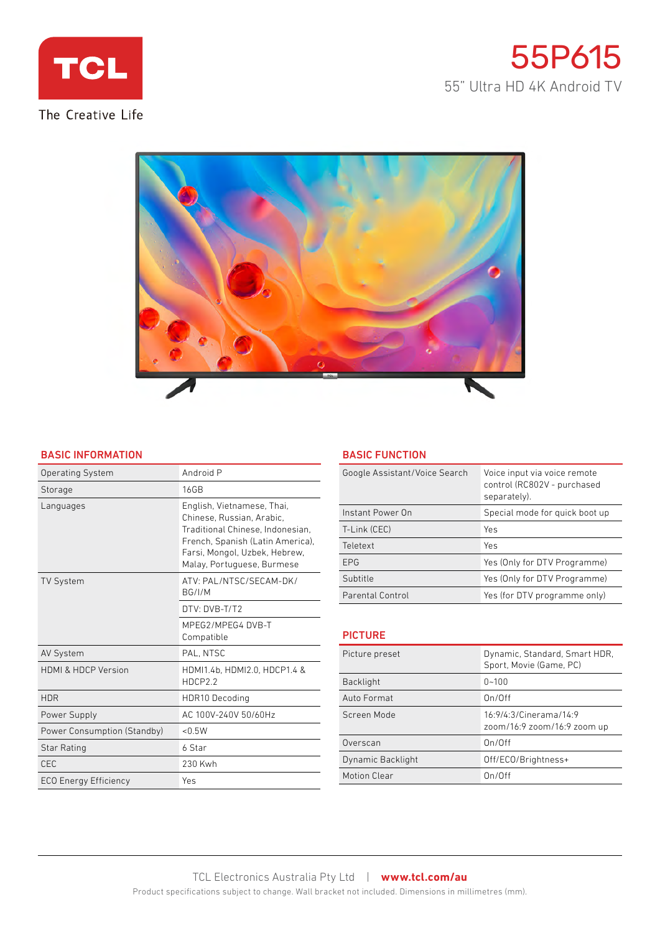





## BASIC INFORMATION

| <b>Operating System</b>      | Android P                                                                                                                                                                                      |
|------------------------------|------------------------------------------------------------------------------------------------------------------------------------------------------------------------------------------------|
| Storage                      | <b>16GB</b>                                                                                                                                                                                    |
| Languages                    | English, Vietnamese, Thai,<br>Chinese, Russian, Arabic.<br>Traditional Chinese, Indonesian.<br>French, Spanish (Latin America),<br>Farsi, Mongol, Uzbek, Hebrew,<br>Malay, Portuguese, Burmese |
| <b>TV System</b>             | ATV: PAL/NTSC/SECAM-DK/<br>BG/I/M                                                                                                                                                              |
|                              | DTV: DVB-T/T2                                                                                                                                                                                  |
|                              | MPEG2/MPEG4 DVB-T<br>Compatible                                                                                                                                                                |
| <b>AV System</b>             | PAL. NTSC                                                                                                                                                                                      |
| HDML& HDCP Version           | HDMI1.4b, HDMI2.0, HDCP1.4 &<br>HDCP2.2                                                                                                                                                        |
| <b>HDR</b>                   | <b>HDR10 Decoding</b>                                                                                                                                                                          |
| Power Supply                 | AC 100V-240V 50/60Hz                                                                                                                                                                           |
| Power Consumption (Standby)  | < 0.5W                                                                                                                                                                                         |
| Star Rating                  | 6 Star                                                                                                                                                                                         |
| C <sub>FC</sub>              | 230 Kwh                                                                                                                                                                                        |
| <b>ECO Energy Efficiency</b> | Yes                                                                                                                                                                                            |

## BASIC FUNCTION

| Google Assistant/Voice Search | Voice input via voice remote<br>control (RC802V - purchased<br>separately). |
|-------------------------------|-----------------------------------------------------------------------------|
| Instant Power On              | Special mode for quick boot up                                              |
| T-Link (CEC)                  | Yes                                                                         |
| Teletext                      | Yes                                                                         |
| <b>FPG</b>                    | Yes (Only for DTV Programme)                                                |
| Subtitle                      | Yes (Only for DTV Programme)                                                |
| Parental Control              | Yes (for DTV programme only)                                                |

# **PICTURE**

| Picture preset    | Dynamic, Standard, Smart HDR,<br>Sport, Movie (Game, PC) |
|-------------------|----------------------------------------------------------|
| <b>Backlight</b>  | $0 - 100$                                                |
| Auto Format       | On/Off                                                   |
| Screen Mode       | 16:9/4:3/Cinerama/14:9<br>zoom/16:9 zoom/16:9 zoom up    |
| Overscan          | On/Off                                                   |
| Dynamic Backlight | Off/ECO/Brightness+                                      |
| Motion Clear      | On/Off                                                   |
|                   |                                                          |